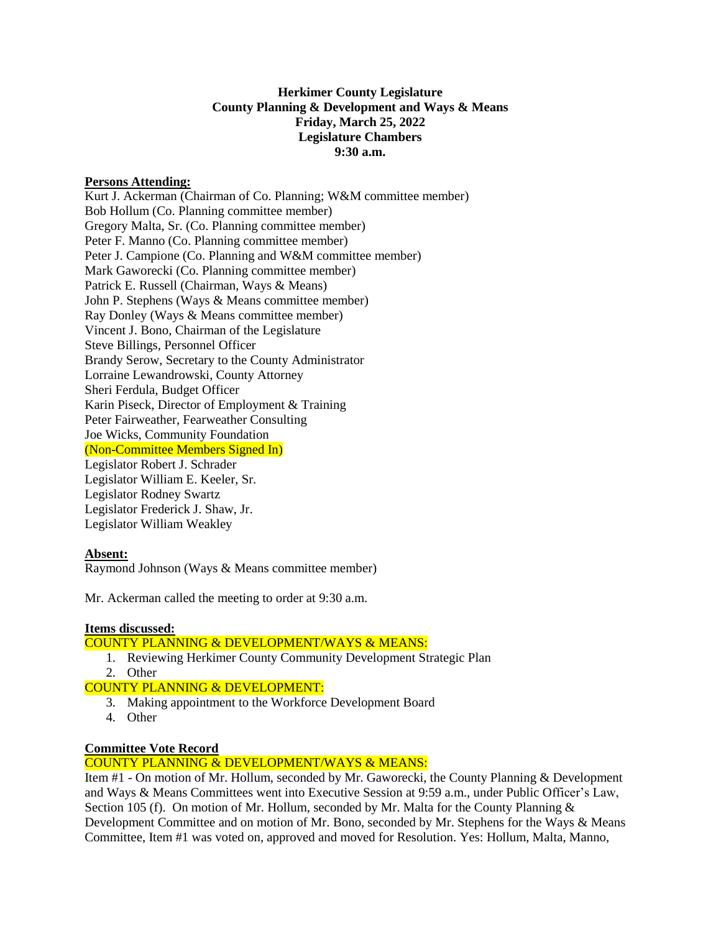#### **Herkimer County Legislature County Planning & Development and Ways & Means Friday, March 25, 2022 Legislature Chambers 9:30 a.m.**

#### **Persons Attending:**

Kurt J. Ackerman (Chairman of Co. Planning; W&M committee member) Bob Hollum (Co. Planning committee member) Gregory Malta, Sr. (Co. Planning committee member) Peter F. Manno (Co. Planning committee member) Peter J. Campione (Co. Planning and W&M committee member) Mark Gaworecki (Co. Planning committee member) Patrick E. Russell (Chairman, Ways & Means) John P. Stephens (Ways & Means committee member) Ray Donley (Ways & Means committee member) Vincent J. Bono, Chairman of the Legislature Steve Billings, Personnel Officer Brandy Serow, Secretary to the County Administrator Lorraine Lewandrowski, County Attorney Sheri Ferdula, Budget Officer Karin Piseck, Director of Employment & Training Peter Fairweather, Fearweather Consulting Joe Wicks, Community Foundation (Non-Committee Members Signed In) Legislator Robert J. Schrader Legislator William E. Keeler, Sr. Legislator Rodney Swartz Legislator Frederick J. Shaw, Jr. Legislator William Weakley

# **Absent:**

Raymond Johnson (Ways & Means committee member)

Mr. Ackerman called the meeting to order at 9:30 a.m.

# **Items discussed:**

# COUNTY PLANNING & DEVELOPMENT/WAYS & MEANS:

- 1. Reviewing Herkimer County Community Development Strategic Plan
- 2. Other

COUNTY PLANNING & DEVELOPMENT:

- 3. Making appointment to the Workforce Development Board
- 4. Other

#### **Committee Vote Record**

# COUNTY PLANNING & DEVELOPMENT/WAYS & MEANS:

Item #1 - On motion of Mr. Hollum, seconded by Mr. Gaworecki, the County Planning & Development and Ways & Means Committees went into Executive Session at 9:59 a.m., under Public Officer's Law, Section 105 (f). On motion of Mr. Hollum, seconded by Mr. Malta for the County Planning & Development Committee and on motion of Mr. Bono, seconded by Mr. Stephens for the Ways & Means Committee, Item #1 was voted on, approved and moved for Resolution. Yes: Hollum, Malta, Manno,